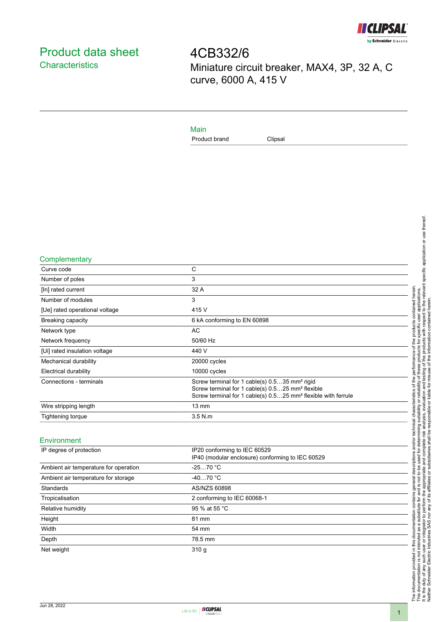

# <span id="page-0-0"></span>Product data sheet **Characteristics**

4CB332/6 Miniature circuit breaker, MAX4, 3P, 32 A, C curve, 6000 A, 415 V

### Main

Product brand Clipsal

**Complementary** 

| Curve code                     | C                                                                                                                                                                                                      |
|--------------------------------|--------------------------------------------------------------------------------------------------------------------------------------------------------------------------------------------------------|
| Number of poles                | 3                                                                                                                                                                                                      |
| [In] rated current             | 32 A                                                                                                                                                                                                   |
| Number of modules              | 3                                                                                                                                                                                                      |
| [Ue] rated operational voltage | 415 V                                                                                                                                                                                                  |
| Breaking capacity              | 6 kA conforming to EN 60898                                                                                                                                                                            |
| Network type                   | AC                                                                                                                                                                                                     |
| Network frequency              | 50/60 Hz                                                                                                                                                                                               |
| [Ui] rated insulation voltage  | 440 V                                                                                                                                                                                                  |
| Mechanical durability          | 20000 cycles                                                                                                                                                                                           |
| Electrical durability          | 10000 cycles                                                                                                                                                                                           |
| Connections - terminals        | Screw terminal for 1 cable(s) 0.535 mm <sup>2</sup> rigid<br>Screw terminal for 1 cable(s) 0.525 mm <sup>2</sup> flexible<br>Screw terminal for 1 cable(s) 0.525 mm <sup>2</sup> flexible with ferrule |
| Wire stripping length          | $13 \text{ mm}$                                                                                                                                                                                        |
| Tightening torque              | $3.5$ N.m.                                                                                                                                                                                             |
|                                |                                                                                                                                                                                                        |

#### Environment

| IP degree of protection               | IP20 conforming to IEC 60529<br>IP40 (modular enclosure) conforming to IEC 60529 |
|---------------------------------------|----------------------------------------------------------------------------------|
| Ambient air temperature for operation | $-2570 °C$                                                                       |
| Ambient air temperature for storage   | $-4070 °C$                                                                       |
| Standards                             | AS/NZS 60898                                                                     |
| Tropicalisation                       | 2 conforming to IEC 60068-1                                                      |
| Relative humidity                     | 95 % at 55 °C                                                                    |
| Height                                | 81 mm                                                                            |
| Width                                 | 54 mm                                                                            |
| Depth                                 | 78.5 mm                                                                          |
| Net weight                            | 310q                                                                             |